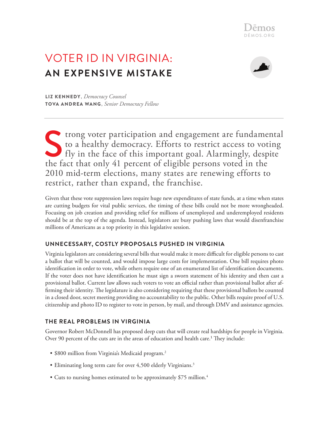# Voter ID in Virginia: **An Expensive Mistake**



Liz Kennedy, *Democracy Counsel* Tova Andrea Wang, *Senior Democracy Fellow*

Strong voter participation and engagement are fundamental<br>to a healthy democracy. Efforts to restrict access to voting<br>fly in the face of this important goal. Alarmingly, despite<br>the fact that only 41 percent of eligible p to a healthy democracy. Efforts to restrict access to voting fly in the face of this important goal. Alarmingly, despite the fact that only 41 percent of eligible persons voted in the 2010 mid-term elections, many states are renewing efforts to restrict, rather than expand, the franchise.

Given that these vote suppression laws require huge new expenditures of state funds, at a time when states are cutting budgets for vital public services, the timing of these bills could not be more wrongheaded. Focusing on job creation and providing relief for millions of unemployed and underemployed residents should be at the top of the agenda. Instead, legislators are busy pushing laws that would disenfranchise millions of Americans as a top priority in this legislative session.

## **UNNECESSARY, COSTLY PROPOSALS PUSHED IN VIRGINIA**

Virginia legislators are considering several bills that would make it more difficult for eligible persons to cast a ballot that will be counted, and would impose large costs for implementation. One bill requires photo identification in order to vote, while others require one of an enumerated list of identification documents. If the voter does not have identification he must sign a sworn statement of his identity and then cast a provisional ballot. Current law allows such voters to vote an official rather than provisional ballot after affirming their identity. The legislature is also considering requiring that these provisional ballots be counted in a closed door, secret meeting providing no accountability to the public. Other bills require proof of U.S. citizenship and photo ID to register to vote in person, by mail, and through DMV and assistance agencies.

## **THE REAL PROBLEMS IN VIRGINIA**

Governor Robert McDonnell has proposed deep cuts that will create real hardships for people in Virginia. Over 90 percent of the cuts are in the areas of education and health care.<sup>1</sup> They include:

- \$800 million from Virginia's Medicaid program.<sup>2</sup>
- Eliminating long term care for over 4,500 elderly Virginians.<sup>3</sup>
- Cuts to nursing homes estimated to be approximately \$75 million.<sup>4</sup>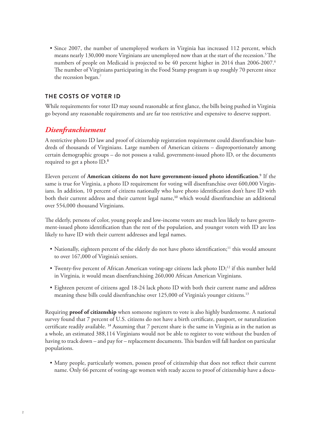• Since 2007, the number of unemployed workers in Virginia has increased 112 percent, which means nearly 130,000 more Virginians are unemployed now than at the start of the recession.<sup>5</sup> The numbers of people on Medicaid is projected to be 40 percent higher in 2014 than 2006-2007.<sup>6</sup> The number of Virginians participating in the Food Stamp program is up roughly 70 percent since the recession began.<sup>7</sup>

#### **THE COSTS OF VOTER ID**

While requirements for voter ID may sound reasonable at first glance, the bills being pushed in Virginia go beyond any reasonable requirements and are far too restrictive and expensive to deserve support.

# *Disenfranchisement*

A restrictive photo ID law and proof of citizenship registration requirement could disenfranchise hundreds of thousands of Virginians. Large numbers of American citizens – disproportionately among certain demographic groups – do not possess a valid, government-issued photo ID, or the documents required to get a photo ID.<sup>8</sup>

Eleven percent of **American citizens do not have government-issued photo identification**. 9 If the same is true for Virginia, a photo ID requirement for voting will disenfranchise over 600,000 Virginians. In addition, 10 percent of citizens nationally who have photo identification don't have ID with both their current address and their current legal name,<sup>10</sup> which would disenfranchise an additional over 554,000 thousand Virginians.

The elderly, persons of color, young people and low-income voters are much less likely to have government-issued photo identification than the rest of the population, and younger voters with ID are less likely to have ID with their current addresses and legal names.

- Nationally, eighteen percent of the elderly do not have photo identification;<sup>11</sup> this would amount to over 167,000 of Virginia's seniors.
- Twenty-five percent of African American voting-age citizens lack photo ID;<sup>12</sup> if this number held in Virginia, it would mean disenfranchising 260,000 African American Virginians.
- • Eighteen percent of citizens aged 18-24 lack photo ID with both their current name and address meaning these bills could disenfranchise over 125,000 of Virginia's younger citizens.<sup>13</sup>

Requiring **proof of citizenship** when someone registers to vote is also highly burdensome. A national survey found that 7 percent of U.S. citizens do not have a birth certificate, passport, or naturalization certificate readily available. <sup>14</sup> Assuming that 7 percent share is the same in Virginia as in the nation as a whole, an estimated 388,114 Virginians would not be able to register to vote without the burden of having to track down – and pay for – replacement documents. This burden will fall hardest on particular populations.

• Many people, particularly women, possess proof of citizenship that does not reflect their current name. Only 66 percent of voting-age women with ready access to proof of citizenship have a docu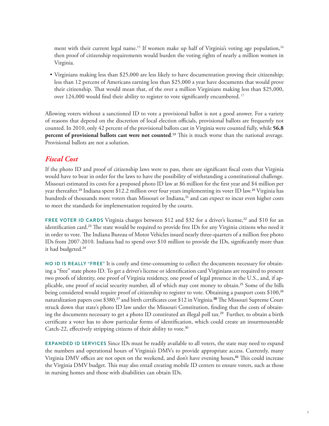ment with their current legal name.<sup>15</sup> If women make up half of Virginia's voting age population,<sup>16</sup> then proof of citizenship requirements would burden the voting rights of nearly a million women in Virginia.

• Virginians making less than \$25,000 are less likely to have documentation proving their citizenship; less than 12 percent of Americans earning less than \$25,000 a year have documents that would prove their citizenship. That would mean that, of the over a million Virginians making less than \$25,000, over 124,000 would find their ability to register to vote significantly encumbered. 17

Allowing voters without a sanctioned ID to vote a provisional ballot is not a good answer. For a variety of reasons that depend on the discretion of local election officials, provisional ballots are frequently not counted. In 2010, only 42 percent of the provisional ballots cast in Virginia were counted fully, while **56.8 percent of provisional ballots cast were not counted**. <sup>18</sup> This is much worse than the national average. Provisional ballots are not a solution.

# *Fiscal Cost*

If the photo ID and proof of citizenship laws were to pass, there are significant fiscal costs that Virginia would have to bear in order for the laws to have the possibility of withstanding a constitutional challenge. Missouri estimated its costs for a proposed photo ID law at \$6 million for the first year and \$4 million per year thereafter.<sup>19</sup> Indiana spent \$12.2 million over four years implementing its voter ID law.<sup>20</sup> Virginia has hundreds of thousands more voters than Missouri or Indiana,<sup>21</sup> and can expect to incur even higher costs to meet the standards for implementation required by the courts.

**FREE VOTER ID CARDS** Virginia charges between \$12 and \$32 for a driver's license,<sup>22</sup> and \$10 for an identification card.<sup>23</sup> The state would be required to provide free IDs for any Virginia citizens who need it in order to vote. The Indiana Bureau of Motor Vehicles issued nearly three-quarters of a million free photo IDs from 2007-2010. Indiana had to spend over \$10 million to provide the IDs, significantly more than it had budgeted.<sup>24</sup>

**No ID is really "Free"** It is costly and time-consuming to collect the documents necessary for obtaining a "free" state photo ID. To get a driver's license or identification card Virginians are required to present two proofs of identity, one proof of Virginia residency, one proof of legal presence in the U.S., and, if applicable, one proof of social security number, all of which may cost money to obtain.<sup>25</sup> Some of the bills being considered would require proof of citizenship to register to vote. Obtaining a passport costs \$100,<sup>26</sup> naturalization papers cost \$380,<sup>27</sup> and birth certificates cost \$12 in Virginia.**<sup>28</sup>** The Missouri Supreme Court struck down that state's photo ID law under the Missouri Constitution, finding that the costs of obtaining the documents necessary to get a photo ID constituted an illegal poll tax.<sup>29</sup> Further, to obtain a birth certificate a voter has to show particular forms of identification, which could create an insurmountable Catch-22, effectively stripping citizens of their ability to vote.<sup>30</sup>

**EXPANDED ID SERVICES** Since IDs must be readily available to all voters, the state may need to expand the numbers and operational hours of Virginia's DMVs to provide appropriate access. Currently, many Virginia DMV offices are not open on the weekend, and don't have evening hours**. <sup>31</sup>** This could increase the Virginia DMV budget. This may also entail creating mobile ID centers to ensure voters, such as those in nursing homes and those with disabilities can obtain IDs.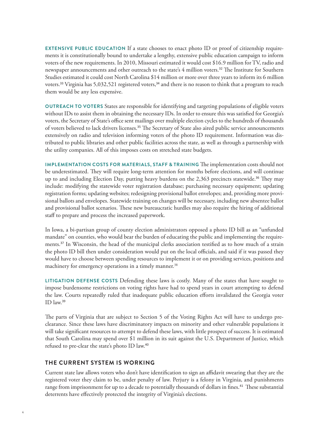**Extensive Public Education** If a state chooses to enact photo ID or proof of citizenship requirements it is constitutionally bound to undertake a lengthy, extensive public education campaign to inform voters of the new requirements. In 2010, Missouri estimated it would cost \$16.9 million for TV, radio and newspaper announcements and other outreach to the state's 4 million voters.<sup>32</sup> The Institute for Southern Studies estimated it could cost North Carolina \$14 million or more over three years to inform its 6 million voters.<sup>33</sup> Virginia has 5,032,521 registered voters,<sup>34</sup> and there is no reason to think that a program to reach them would be any less expensive.

**Outreach to Voters** States are responsible for identifying and targeting populations of eligible voters without IDs to assist them in obtaining the necessary IDs. In order to ensure this was satisfied for Georgia's voters, the Secretary of State's office sent mailings over multiple election cycles to the hundreds of thousands of voters believed to lack drivers licenses.<sup>35</sup> The Secretary of State also aired public service announcements extensively on radio and television informing voters of the photo ID requirement. Information was distributed to public libraries and other public facilities across the state, as well as through a partnership with the utility companies. All of this imposes costs on stretched state budgets.

**Implementation Costs for Materials, Staff & Training** The implementation costs should not be underestimated. They will require long-term attention for months before elections, and will continue up to and including Election Day, putting heavy burdens on the 2,363 precincts statewide.<sup>36</sup> They may include: modifying the statewide voter registration database; purchasing necessary equipment; updating registration forms; updating websites; redesigning provisional ballot envelopes; and, providing more provisional ballots and envelopes. Statewide training on changes will be necessary, including new absentee ballot and provisional ballot scenarios. These new bureaucratic hurdles may also require the hiring of additional staff to prepare and process the increased paperwork.

In Iowa, a bi-partisan group of county election administrators opposed a photo ID bill as an "unfunded mandate" on counties, who would bear the burden of educating the public and implementing the requirements.<sup>37</sup> In Wisconsin, the head of the municipal clerks association testified as to how much of a strain the photo ID bill then under consideration would put on the local officials, and said if it was passed they would have to choose between spending resources to implement it or on providing services, positions and machinery for emergency operations in a timely manner.<sup>38</sup>

**Litigation Defense Costs** Defending these laws is costly. Many of the states that have sought to impose burdensome restrictions on voting rights have had to spend years in court attempting to defend the law. Courts repeatedly ruled that inadequate public education efforts invalidated the Georgia voter ID law.<sup>39</sup>

The parts of Virginia that are subject to Section 5 of the Voting Rights Act will have to undergo preclearance. Since these laws have discriminatory impacts on minority and other vulnerable populations it will take significant resources to attempt to defend these laws, with little prospect of success. It is estimated that South Carolina may spend over \$1 million in its suit against the U.S. Department of Justice, which refused to pre-clear the state's photo ID law.<sup>40</sup>

#### **THE CURRENT SYSTEM IS WORKING**

Current state law allows voters who don't have identification to sign an affidavit swearing that they are the registered voter they claim to be, under penalty of law. Perjury is a felony in Virginia, and punishments range from imprisonment for up to a decade to potentially thousands of dollars in fines.<sup>41</sup> These substantial deterrents have effectively protected the integrity of Virginia's elections.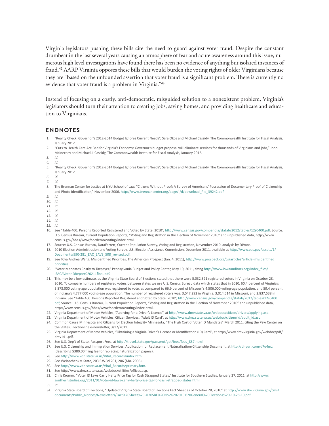Virginia legislators pushing these bills cite the need to guard against voter fraud. Despite the constant drumbeat in the last several years causing an atmosphere of fear and acute awareness around this issue, numerous high level investigations have found there has been no evidence of anything but isolated instances of fraud.<sup>42</sup> AARP Virginia opposes these bills that would burden the voting rights of older Virginians because they are "based on the unfounded assertion that voter fraud is a significant problem. There is currently no evidence that voter fraud is a problem in Virginia."<sup>43</sup>

Instead of focusing on a costly, anti-democratic, misguided solution to a nonexistent problem, Virginia's legislators should turn their attention to creating jobs, saving homes, and providing healthcare and education to Virginians.

#### **Endnotes**

- 1. "Reality Check: Governor's 2012-2014 Budget Ignores Current Needs", Sara Okos and Michael Cassidy, The Commonwealth Institute for Fiscal Analysis, January 2012.
- 2. "Cuts to Health Care Are Bad for Virginia's Economy: Governor's budget proposal will eliminate services for thousands of Virginians and jobs," John McInerney and Michael J. Cassidy, The Commonwealth Institute for Fiscal Analysis, January 2012.
- *3. Id.*
- *4. Id.*
- 5. "Reality Check: Governor's 2012-2014 Budget Ignores Current Needs", Sara Okos and Michael Cassidy, The Commonwealth Institute for Fiscal Analysis, January 2012.
- *6. Id.*
- *7. Id.*
- 8. The Brennan Center for Justice at NYU School of Law, "Citizens Without Proof: A Survey of Americans' Possession of Documentary Proof of Citizenship and Photo Identification," November 2006, [http://www.brennancenter.org/page/-/d/download\\_file\\_39242.pdf](http://www.brennancenter.org/page/-/d/download_file_39242.pdf).
- *9. Id.*
- *10. Id.*
- *11. Id.*
- *12. Id.*
- *13. Id.*
- *14. Id.*
- *15. Id.*
- 16. See "Table 400. Persons Reported Registered and Voted by State: 2010",<http://www.census.gov/compendia/statab/2012/tables/12s0400.pdf>, Source: U.S. Census Bureau, Current Population Reports, "Voting and Registration in the Election of November 2010" and unpublished data, http://www. census.gov/hhes/www/socdemo/voting/index.html.
- 17. Source: U.S. Census Bureau, DataFerrett, Current Population Survey, Voting and Registration, November 2010, analysis by Dēmos.
- 18. 2010 Election Administration and Voting Survey, U.S. Election Assistance Commission, December 2011, available at [http://www.eac.gov/assets/1/](http://www.eac.gov/assets/1/Documents/990-281_EAC_EAVS_508_revised.pdf) [Documents/990-281\\_EAC\\_EAVS\\_508\\_revised.pdf](http://www.eac.gov/assets/1/Documents/990-281_EAC_EAVS_508_revised.pdf).
- 19. See Tova Andrea Wang, Misidentified Priorities, The American Prospect (Jan. 4, 2011), [http://www.prospect.org/cs/articles?article=misidentified\\_](http://www.prospect.org/cs/articles?article=misidentified_priorities) [priorities](http://www.prospect.org/cs/articles?article=misidentified_priorities).
- 20. "Voter Mandates Costly to Taxpayer," Pennsylvania Budget and Policy Center, May 10, 2011, citing [http://www.iowaauditors.org/index\\_files/](http://www.iowaauditors.org/index_files/ISACAVoterIDReport020211final.pdf) [ISACAVoterIDReport020211final.pdf](http://www.iowaauditors.org/index_files/ISACAVoterIDReport020211final.pdf).
- 21. This may be a low estimate, as the Virginia State Board of Elections stated that there were 5,032,521 registered voters in Virginia on October 28, 2010. To compare numbers of registered voters between states we use U.S. Census Bureau data which states that in 2010, 60.4 percent of Virginia's 5,873,000 voting-age population was registered to vote, as compared to 66.9 percent of Missouri's 4,506,000 voting-age population, and 59.4 percent of Indiana's 4,777,000 voting-age population. The number of registered voters was: 3,547,292 in Virginia, 3,014,514 in Missouri, and 2,837,538 in Indiana. See "Table 400. Persons Reported Registered and Voted by State: 2010", [http://www.census.gov/compendia/statab/2012/tables/12s0400.](http://www.census.gov/compendia/statab/2012/tables/12s0400.pdf) [pdf,](http://www.census.gov/compendia/statab/2012/tables/12s0400.pdf) Source: U.S. Census Bureau, Current Population Reports, "Voting and Registration in the Election of November 2010" and unpublished data, http://www.census.gov/hhes/www/socdemo/voting/index.html.
- 22. Virginia Department of Motor Vehicles, "Applying for a Driver's License", at <http://www.dmv.state.va.us/webdoc/citizen/drivers/applying.asp>.
- 23. Virginia Department of Motor Vehicles, Citizen Services, "Adult ID Card", at [http://www.dmv.state.va.us/webdoc/citizen/id/adult\\_id.asp](http://www.dmv.state.va.us/webdoc/citizen/id/adult_id.asp).
- 24. Common Cause Minnesota and Citizens for Election Integrity Minnesota, "The High Cost of Voter ID Mandates" March 2011, citing the Pew Center on the States, Electionline e-newsletter, 3/17/2011.
- 25. Virginia Department of Motor Vehicles, "Obtaining a Virginia Driver's License or Identification (ID) Card", at http://www.dmv.virginia.gov/webdoc/pdf/ dmv141.pdf.
- 26. See U.S. Dep't of State, Passport Fees, at [http://travel.state.gov/passprot/get/fees/fees\\_837.html](http://travel.state.gov/passprot/get/fees/fees_837.html).
- 27. See U.S. Citizenship and Immigration Services, Application for Replacement Naturalization/Citizenship Document, at <http://tinyurl.com/d7u4mz> (describing \$380.00 filing fee for replacing naturalization papers).
- 28. See [http://www.vdh.state.va.us/Vital\\_Records/index.htm.](http://www.vdh.state.va.us/Vital_Records/index.htm)
- 29. See Weinschenk v. State, 203 S.W.3d 201, 206 (Mo. 2006).
- 30. See [http://www.vdh.state.va.us/Vital\\_Records/primary.htm](http://www.vdh.state.va.us/Vital_Records/primary.htm).
- 31. See http://www.dmv.state.va.us/webdoc/utilities/offices.asp.
- 32. Chris Kromm, "Voter ID Laws Carry Hefty Price Tag for Cash Strapped States," Institute for Southern Studies, January 27, 2011, at [http://www.](http://www.southernstudies.org/2011/01/voter-id-laws-carry-hefty-price-tag-for-cash-strapped-states.html) [southernstudies.org/2011/01/voter-id-laws-carry-hefty-price-tag-for-cash-strapped-states.html](http://www.southernstudies.org/2011/01/voter-id-laws-carry-hefty-price-tag-for-cash-strapped-states.html).
- *33. Id.*
- 34. Virginia State Board of Elections, "Updated Virginia State Board of Elections Fact Sheet as of October 28, 2010" at [http://www.sbe.virginia.gov/cms/](http://www.sbe.virginia.gov/cms/documents/Public_Notices/Newsletters/Fact Sheet  SBE Nov 2010 General Elections -10-28-10.pdf) [documents/Public\\_Notices/Newsletters/Fact%20Sheet%20-%20SBE%20Nov%202010%20General%20Elections%20-10-28-10.pdf](http://www.sbe.virginia.gov/cms/documents/Public_Notices/Newsletters/Fact Sheet - SBE Nov 2010 General Elections -10-28-10.pdf).